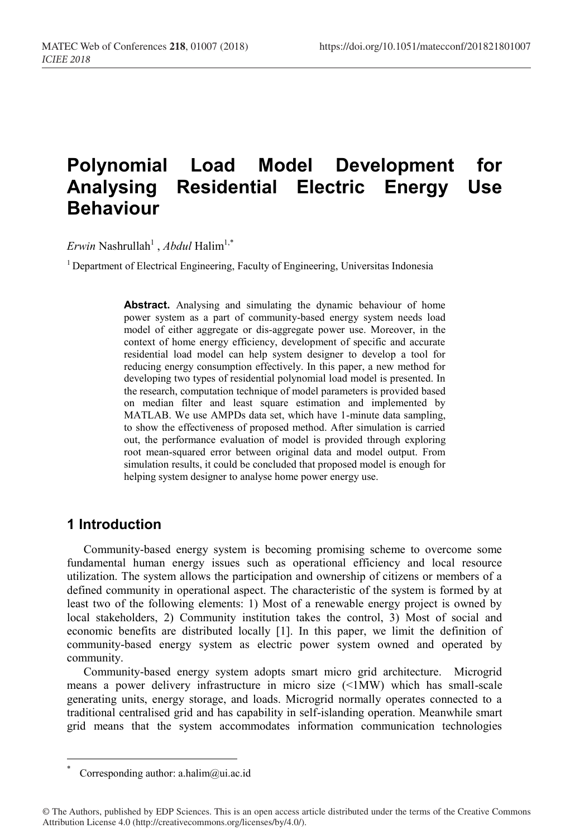# **Polynomial Load Model Development for Analysing Residential Electric Energy Use Behaviour**

*Erwin* Nashrullah<sup>1</sup>, *Abdul* Halim<sup>1,\*</sup>

<sup>1</sup> Department of Electrical Engineering, Faculty of Engineering, Universitas Indonesia

**Abstract.** Analysing and simulating the dynamic behaviour of home power system as a part of community-based energy system needs load model of either aggregate or dis-aggregate power use. Moreover, in the context of home energy efficiency, development of specific and accurate residential load model can help system designer to develop a tool for reducing energy consumption effectively. In this paper, a new method for developing two types of residential polynomial load model is presented. In the research, computation technique of model parameters is provided based on median filter and least square estimation and implemented by MATLAB. We use AMPDs data set, which have 1-minute data sampling, to show the effectiveness of proposed method. After simulation is carried out, the performance evaluation of model is provided through exploring root mean-squared error between original data and model output. From simulation results, it could be concluded that proposed model is enough for helping system designer to analyse home power energy use.

### **1 Introduction**

Community-based energy system is becoming promising scheme to overcome some fundamental human energy issues such as operational efficiency and local resource utilization. The system allows the participation and ownership of citizens or members of a defined community in operational aspect. The characteristic of the system is formed by at least two of the following elements: 1) Most of a renewable energy project is owned by local stakeholders, 2) Community institution takes the control, 3) Most of social and economic benefits are distributed locally [1]. In this paper, we limit the definition of community-based energy system as electric power system owned and operated by community.

Community-based energy system adopts smart micro grid architecture. Microgrid means a power delivery infrastructure in micro size (<1MW) which has small-scale generating units, energy storage, and loads. Microgrid normally operates connected to a traditional centralised grid and has capability in self-islanding operation. Meanwhile smart grid means that the system accommodates information communication technologies

Corresponding author: a.halim@ui.ac.id

<sup>©</sup> The Authors, published by EDP Sciences. This is an open access article distributed under the terms of the Creative Commons Attribution License 4.0 (http://creativecommons.org/licenses/by/4.0/).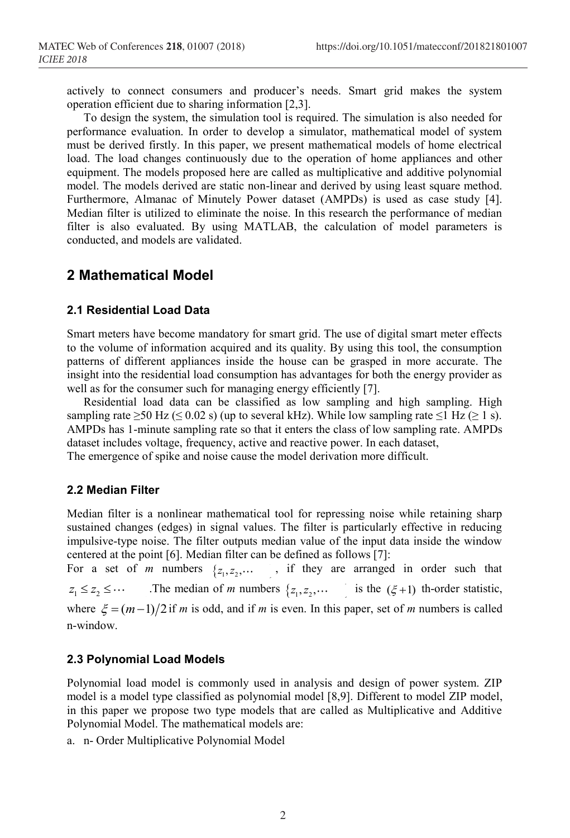actively to connect consumers and producer's needs. Smart grid makes the system operation efficient due to sharing information [2,3].

To design the system, the simulation tool is required. The simulation is also needed for performance evaluation. In order to develop a simulator, mathematical model of system must be derived firstly. In this paper, we present mathematical models of home electrical load. The load changes continuously due to the operation of home appliances and other equipment. The models proposed here are called as multiplicative and additive polynomial model. The models derived are static non-linear and derived by using least square method. Furthermore, Almanac of Minutely Power dataset (AMPDs) is used as case study [4]. Median filter is utilized to eliminate the noise. In this research the performance of median filter is also evaluated. By using MATLAB, the calculation of model parameters is conducted, and models are validated.

# **2 Mathematical Model**

### **2.1 Residential Load Data**

Smart meters have become mandatory for smart grid. The use of digital smart meter effects to the volume of information acquired and its quality. By using this tool, the consumption patterns of different appliances inside the house can be grasped in more accurate. The insight into the residential load consumption has advantages for both the energy provider as well as for the consumer such for managing energy efficiently [7].

Residential load data can be classified as low sampling and high sampling. High sampling rate  $\geq$ 50 Hz ( $\leq$  0.02 s) (up to several kHz). While low sampling rate  $\leq$ 1 Hz ( $\geq$  1 s). AMPDs has 1-minute sampling rate so that it enters the class of low sampling rate. AMPDs dataset includes voltage, frequency, active and reactive power. In each dataset,

The emergence of spike and noise cause the model derivation more difficult.

### **2.2 Median Filter**

Median filter is a nonlinear mathematical tool for repressing noise while retaining sharp sustained changes (edges) in signal values. The filter is particularly effective in reducing impulsive-type noise. The filter outputs median value of the input data inside the window centered at the point [6]. Median filter can be defined as follows [7]:

For a set of *m* numbers  $\{z_1, z_2, \dots$ , if they are arranged in order such that  $z_1 \leq z_2 \leq \cdots$  The median of *m* numbers  $\{z_1, z_2, \cdots$  is the  $(\xi + 1)$  th-order statistic, where  $\xi = (m-1)/2$  if *m* is odd, and if *m* is even. In this paper, set of *m* numbers is called n-window.

### **2.3 Polynomial Load Models**

Polynomial load model is commonly used in analysis and design of power system. ZIP model is a model type classified as polynomial model [8,9]. Different to model ZIP model, in this paper we propose two type models that are called as Multiplicative and Additive Polynomial Model. The mathematical models are:

a. n- Order Multiplicative Polynomial Model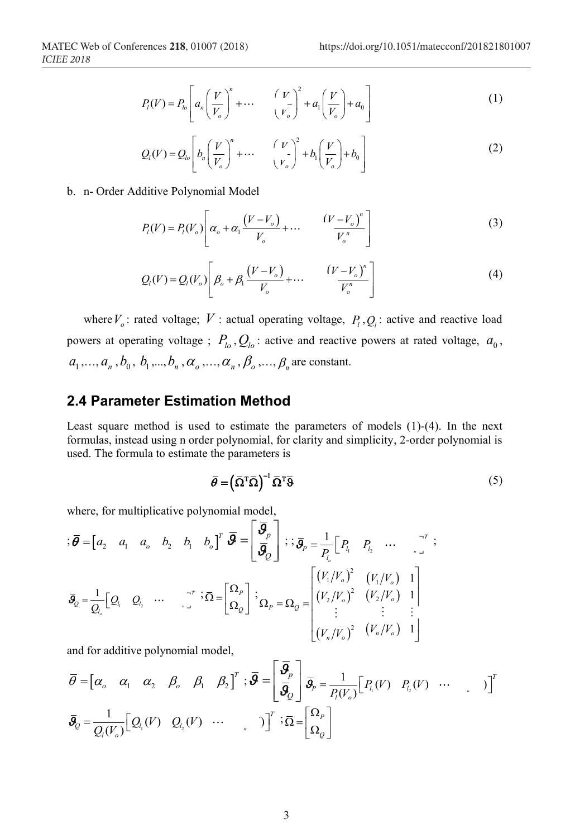$$
P_l(V) = P_{lo} \left[ a_n \left( \frac{V}{V_o} \right)^n + \cdots \left( \frac{V}{V_o} \right)^2 + a_1 \left( \frac{V}{V_o} \right) + a_0 \right]
$$
 (1)

$$
Q_{l}(V) = Q_{lo} \left[ b_{n} \left( \frac{V}{V_o} \right)^{n} + \cdots - \left( \frac{V}{V_o} \right)^{2} + b_{l} \left( \frac{V}{V_o} \right) + b_{0} \right]
$$
 (2)

b. n- Order Additive Polynomial Model

$$
P_l(V) = P_l(V_o) \left[ \alpha_o + \alpha_1 \frac{(V - V_o)}{V_o} + \cdots \frac{(V - V_o)^n}{V_o^n} \right]
$$
 (3)

$$
Q_{l}(V) = Q_{l}(V_{o}) \left[ \beta_{o} + \beta_{l} \frac{\left(V - V_{o}\right)}{V_{o}} + \cdots \frac{\left(V - V_{o}\right)^{n}}{V_{o}^{n}} \right]
$$
\n
$$
(4)
$$

where  $V_o$ : rated voltage;  $V$ : actual operating voltage,  $P_l$ ,  $Q_l$ : active and reactive load powers at operating voltage ;  $P_{l_o}, Q_{l_o}$ : active and reactive powers at rated voltage,  $a_0$ ,  $a_1, ..., a_n, b_0, b_1, ..., b_n, \alpha_0, ..., \alpha_n, \beta_0, ..., \beta_n$  are constant.

# **2.4 Parameter Estimation Method**

Least square method is used to estimate the parameters of models (1)-(4). In the next formulas, instead using n order polynomial, for clarity and simplicity, 2-order polynomial is used. The formula to estimate the parameters is

$$
\overline{\theta} = (\overline{\Omega}^T \overline{\Omega})^{-1} \overline{\Omega}^T \overline{\theta}
$$
 (5)

where, for multiplicative polynomial model,

$$
\vec{g} = \begin{bmatrix} a_2 & a_1 & a_0 & b_2 & b_1 & b_0 \end{bmatrix}^T \vec{g} = \begin{bmatrix} \vec{g}_p \\ \vec{g}_q \end{bmatrix} ; \vec{g}_p = \frac{1}{P_{l_o}} \begin{bmatrix} P_{l_1} & P_{l_2} & \cdots & T_{l_p} \end{bmatrix} ;
$$
  

$$
\vec{g}_0 = \frac{1}{Q_{l_o}} \begin{bmatrix} Q_{l_1} & Q_{l_2} & \cdots & T_{l_p} \end{bmatrix} ; \vec{\Omega} = \begin{bmatrix} \Omega_p \\ \Omega_q \end{bmatrix} ; \vec{g}_p = \Omega_q = \begin{bmatrix} (V_1/V_o)^2 & (V_1/V_o) & 1 \\ (V_2/V_o)^2 & (V_2/V_o) & 1 \\ \vdots & \vdots & \vdots \\ (V_n/V_o)^2 & (V_n/V_o) & 1 \end{bmatrix}
$$

and for additive polynomial model,

$$
\overline{\theta} = \begin{bmatrix} \alpha_o & \alpha_1 & \alpha_2 & \beta_o & \beta_1 & \beta_2 \end{bmatrix}^T; \overline{\theta} = \begin{bmatrix} \overline{\theta}_p \\ \overline{\theta}_Q \end{bmatrix} \overline{\theta}_p = \frac{1}{P_l(V_o)} \begin{bmatrix} P_{l_1}(V) & P_{l_2}(V) & \cdots & \cdots & \cdots \end{bmatrix}^T
$$

$$
\overline{\theta}_Q = \frac{1}{Q_l(V_o)} \begin{bmatrix} Q_{l_1}(V) & Q_{l_2}(V) & \cdots & \cdots & \cdots \end{bmatrix}^T; \overline{\Omega} = \begin{bmatrix} \Omega_p \\ \Omega_Q \end{bmatrix}
$$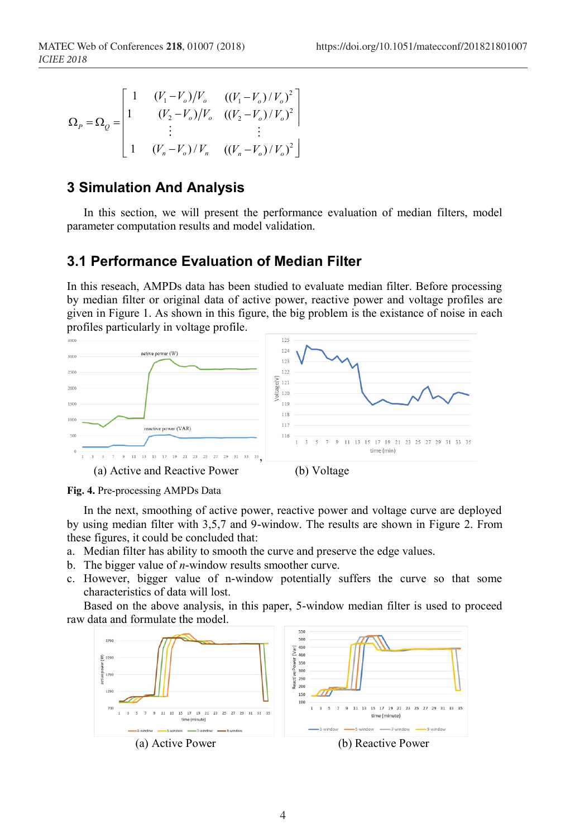$$
\Omega_{P} = \Omega_{Q} = \begin{bmatrix} 1 & (V_{1} - V_{o})/V_{o} & ((V_{1} - V_{o})/V_{o})^{2} \\ 1 & (V_{2} - V_{o})/V_{o} & ((V_{2} - V_{o})/V_{o})^{2} \\ \vdots & \vdots & \vdots \\ 1 & (V_{n} - V_{o})/V_{n} & ((V_{n} - V_{o})/V_{o})^{2} \end{bmatrix}
$$

# **3 Simulation And Analysis**

In this section, we will present the performance evaluation of median filters, model parameter computation results and model validation.

# **3.1 Performance Evaluation of Median Filter**

In this reseach, AMPDs data has been studied to evaluate median filter. Before processing by median filter or original data of active power, reactive power and voltage profiles are given in Figure 1. As shown in this figure, the big problem is the existance of noise in each profiles particularly in voltage profile.



**Fig. 4.** Pre-processing AMPDs Data

In the next, smoothing of active power, reactive power and voltage curve are deployed by using median filter with 3,5,7 and 9-window. The results are shown in Figure 2. From these figures, it could be concluded that:

- a. Median filter has ability to smooth the curve and preserve the edge values.
- b. The bigger value of *n*-window results smoother curve.
- c. However, bigger value of n-window potentially suffers the curve so that some characteristics of data will lost.

Based on the above analysis, in this paper, 5-window median filter is used to proceed raw data and formulate the model.

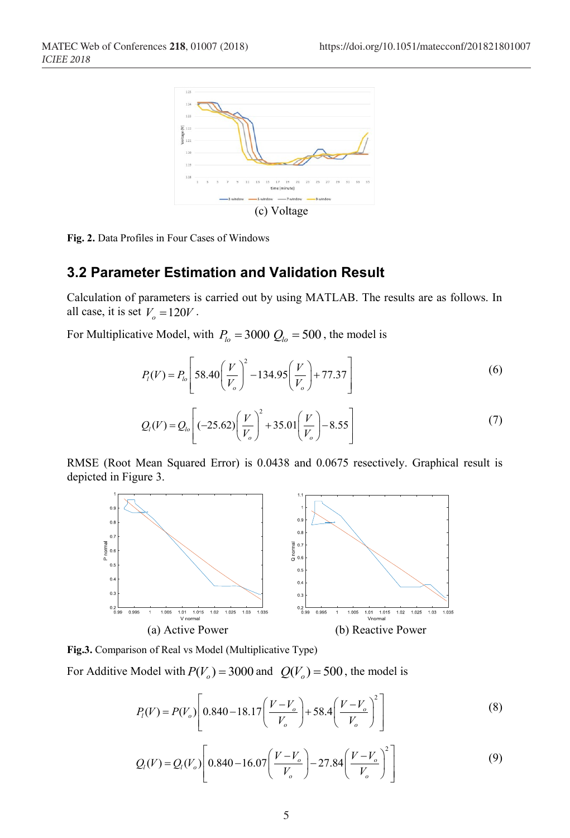

**Fig. 2.** Data Profiles in Four Cases of Windows

### **3.2 Parameter Estimation and Validation Result**

Calculation of parameters is carried out by using MATLAB. The results are as follows. In all case, it is set  $V<sub>o</sub> = 120V$ .

For Multiplicative Model, with  $P_{lo} = 3000 Q_{lo} = 500$ , the model is

$$
P_{i}(V) = P_{io} \left[ 58.40 \left( \frac{V}{V_o} \right)^2 - 134.95 \left( \frac{V}{V_o} \right) + 77.37 \right]
$$
 (6)

$$
Q_{l}(V) = Q_{lo} \left[ (-25.62) \left( \frac{V}{V_o} \right)^2 + 35.01 \left( \frac{V}{V_o} \right) - 8.55 \right]
$$
 (7)

RMSE (Root Mean Squared Error) is 0.0438 and 0.0675 resectively. Graphical result is depicted in Figure 3.



**Fig.3.** Comparison of Real vs Model (Multiplicative Type)

For Additive Model with  $P(V_0) = 3000$  and  $Q(V_0) = 500$ , the model is

$$
P_{i}(V) = P(V_o) \left[ 0.840 - 18.17 \left( \frac{V - V_o}{V_o} \right) + 58.4 \left( \frac{V - V_o}{V_o} \right)^2 \right]
$$
 (8)

$$
Q_{l}(V) = Q_{l}(V_{o}) \left[ 0.840 - 16.07 \left( \frac{V - V_{o}}{V_{o}} \right) - 27.84 \left( \frac{V - V_{o}}{V_{o}} \right)^{2} \right]
$$
(9)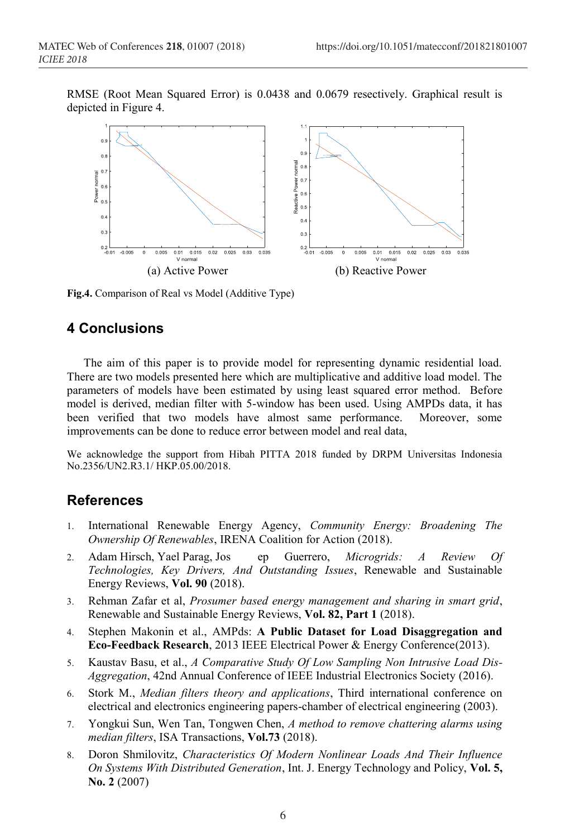RMSE (Root Mean Squared Error) is 0.0438 and 0.0679 resectively. Graphical result is depicted in Figure 4.



**Fig.4.** Comparison of Real vs Model (Additive Type)

# **4 Conclusions**

The aim of this paper is to provide model for representing dynamic residential load. There are two models presented here which are multiplicative and additive load model. The parameters of models have been estimated by using least squared error method. Before model is derived, median filter with 5-window has been used. Using AMPDs data, it has been verified that two models have almost same performance. Moreover, some improvements can be done to reduce error between model and real data,

We acknowledge the support from Hibah PITTA 2018 funded by DRPM Universitas Indonesia No.2356/UN2.R3.1/ HKP.05.00/2018.

# **References**

- 1. International Renewable Energy Agency, *Community Energy: Broadening The Ownership Of Renewables*, IRENA Coalition for Action (2018).
- 2. Adam Hirsch, Yael Parag, Jos ep Guerrero, *Microgrids: A Review Of Technologies, Key Drivers, And Outstanding Issues*, Renewable and Sustainable Energy Reviews, **Vol. 90** (2018).
- 3. Rehman Zafar et al, *Prosumer based energy management and sharing in smart grid*, Renewable and Sustainable Energy Reviews, **Vol. 82, Part 1** (2018).
- 4. Stephen Makonin et al., AMPds: **A Public Dataset for Load Disaggregation and Eco-Feedback Research**, 2013 IEEE Electrical Power & Energy Conference(2013).
- 5. Kaustav Basu, et al., *A Comparative Study Of Low Sampling Non Intrusive Load Dis-Aggregation*, 42nd Annual Conference of IEEE Industrial Electronics Society (2016).
- 6. Stork M., *Median filters theory and applications*, Third international conference on electrical and electronics engineering papers-chamber of electrical engineering (2003).
- 7. Yongkui Sun, Wen Tan, Tongwen Chen, *A method to remove chattering alarms using median filters*, ISA Transactions, **Vol.73** (2018).
- 8. Doron Shmilovitz, *Characteristics Of Modern Nonlinear Loads And Their Influence On Systems With Distributed Generation*, Int. J. Energy Technology and Policy, **Vol. 5, No. 2** (2007)